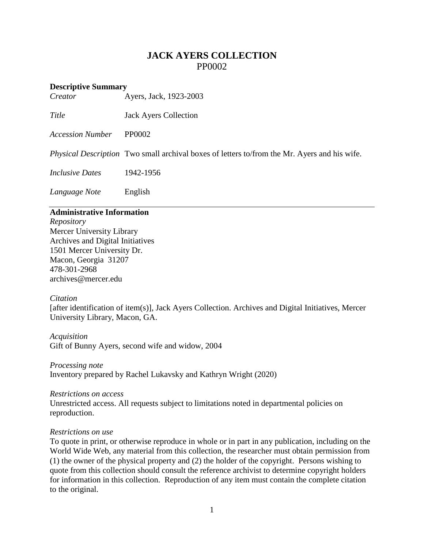# **JACK AYERS COLLECTION** PP0002

# **Descriptive Summary**<br>*Creator*

*Creator* Ayers, Jack, 1923-2003

*Title* Jack Ayers Collection

*Accession Number* PP0002

*Physical Description* Two small archival boxes of letters to/from the Mr. Ayers and his wife.

*Inclusive Dates* 1942-1956

*Language Note* English

## **Administrative Information**

*Repository* Mercer University Library Archives and Digital Initiatives 1501 Mercer University Dr. Macon, Georgia 31207 478-301-2968 [archives@mercer.edu](mailto:archives@mercer.edu)

#### *Citation*

[after identification of item(s)], Jack Ayers Collection. Archives and Digital Initiatives, Mercer University Library, Macon, GA.

*Acquisition* Gift of Bunny Ayers, second wife and widow, 2004

*Processing note* Inventory prepared by Rachel Lukavsky and Kathryn Wright (2020)

*Restrictions on access* Unrestricted access. All requests subject to limitations noted in departmental policies on reproduction.

#### *Restrictions on use*

To quote in print, or otherwise reproduce in whole or in part in any publication, including on the World Wide Web, any material from this collection, the researcher must obtain permission from (1) the owner of the physical property and (2) the holder of the copyright. Persons wishing to quote from this collection should consult the reference archivist to determine copyright holders for information in this collection. Reproduction of any item must contain the complete citation to the original.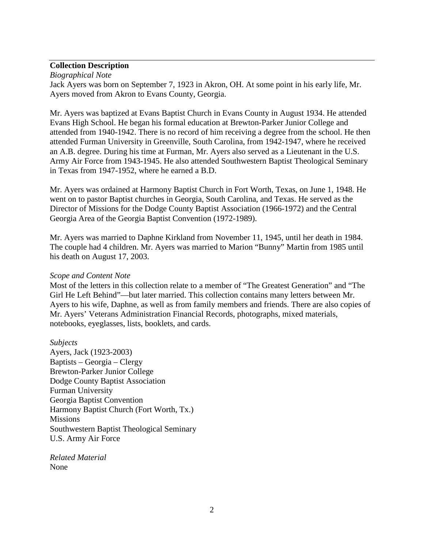## **Collection Description**

*Biographical Note*

Jack Ayers was born on September 7, 1923 in Akron, OH. At some point in his early life, Mr. Ayers moved from Akron to Evans County, Georgia.

Mr. Ayers was baptized at Evans Baptist Church in Evans County in August 1934. He attended Evans High School. He began his formal education at Brewton-Parker Junior College and attended from 1940-1942. There is no record of him receiving a degree from the school. He then attended Furman University in Greenville, South Carolina, from 1942-1947, where he received an A.B. degree. During his time at Furman, Mr. Ayers also served as a Lieutenant in the U.S. Army Air Force from 1943-1945. He also attended Southwestern Baptist Theological Seminary in Texas from 1947-1952, where he earned a B.D.

Mr. Ayers was ordained at Harmony Baptist Church in Fort Worth, Texas, on June 1, 1948. He went on to pastor Baptist churches in Georgia, South Carolina, and Texas. He served as the Director of Missions for the Dodge County Baptist Association (1966-1972) and the Central Georgia Area of the Georgia Baptist Convention (1972-1989).

Mr. Ayers was married to Daphne Kirkland from November 11, 1945, until her death in 1984. The couple had 4 children. Mr. Ayers was married to Marion "Bunny" Martin from 1985 until his death on August 17, 2003.

#### *Scope and Content Note*

Most of the letters in this collection relate to a member of "The Greatest Generation" and "The Girl He Left Behind"—but later married. This collection contains many letters between Mr. Ayers to his wife, Daphne, as well as from family members and friends. There are also copies of Mr. Ayers' Veterans Administration Financial Records, photographs, mixed materials, notebooks, eyeglasses, lists, booklets, and cards.

## *Subjects*

Ayers, Jack (1923-2003) Baptists – Georgia – Clergy Brewton-Parker Junior College Dodge County Baptist Association Furman University Georgia Baptist Convention Harmony Baptist Church (Fort Worth, Tx.) Missions Southwestern Baptist Theological Seminary U.S. Army Air Force

*Related Material* None